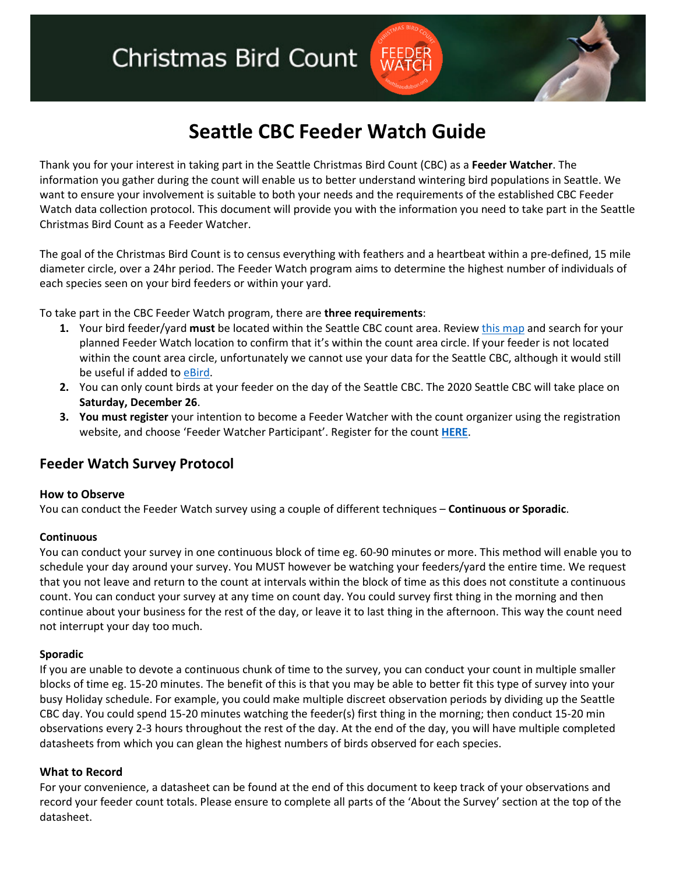# **Christmas Bird Count**

## **Seattle CBC Feeder Watch Guide**

Thank you for your interest in taking part in the Seattle Christmas Bird Count (CBC) as a **Feeder Watcher**. The information you gather during the count will enable us to better understand wintering bird populations in Seattle. We want to ensure your involvement is suitable to both your needs and the requirements of the established CBC Feeder Watch data collection protocol. This document will provide you with the information you need to take part in the Seattle Christmas Bird Count as a Feeder Watcher.

The goal of the Christmas Bird Count is to census everything with feathers and a heartbeat within a pre-defined, 15 mile diameter circle, over a 24hr period. The Feeder Watch program aims to determine the highest number of individuals of each species seen on your bird feeders or within your yard.

To take part in the CBC Feeder Watch program, there are **three requirements**:

- **1.** Your bird feeder/yard **must** be located within the Seattle CBC count area. Review this map and search for your planned Feeder Watch location to confirm that it's within the count area circle. If your feeder is not located within the count area circle, unfortunately we cannot use your data for the Seattle CBC, although it would still be useful if added to eBird.
- **2.** You can only count birds at your feeder on the day of the Seattle CBC. The 2020 Seattle CBC will take place on **Saturday, December 26**.
- **3. You must register** your intention to become a Feeder Watcher with the count organizer using the registration website, and choose 'Feeder Watcher Participant'. Register for the count **HERE**.

### **Feeder Watch Survey Protocol**

#### **How to Observe**

You can conduct the Feeder Watch survey using a couple of different techniques – **Continuous or Sporadic**.

#### **Continuous**

You can conduct your survey in one continuous block of time eg. 60-90 minutes or more. This method will enable you to schedule your day around your survey. You MUST however be watching your feeders/yard the entire time. We request that you not leave and return to the count at intervals within the block of time as this does not constitute a continuous count. You can conduct your survey at any time on count day. You could survey first thing in the morning and then continue about your business for the rest of the day, or leave it to last thing in the afternoon. This way the count need not interrupt your day too much.

#### **Sporadic**

If you are unable to devote a continuous chunk of time to the survey, you can conduct your count in multiple smaller blocks of time eg. 15-20 minutes. The benefit of this is that you may be able to better fit this type of survey into your busy Holiday schedule. For example, you could make multiple discreet observation periods by dividing up the Seattle CBC day. You could spend 15-20 minutes watching the feeder(s) first thing in the morning; then conduct 15-20 min observations every 2-3 hours throughout the rest of the day. At the end of the day, you will have multiple completed datasheets from which you can glean the highest numbers of birds observed for each species.

#### **What to Record**

For your convenience, a datasheet can be found at the end of this document to keep track of your observations and record your feeder count totals. Please ensure to complete all parts of the 'About the Survey' section at the top of the datasheet.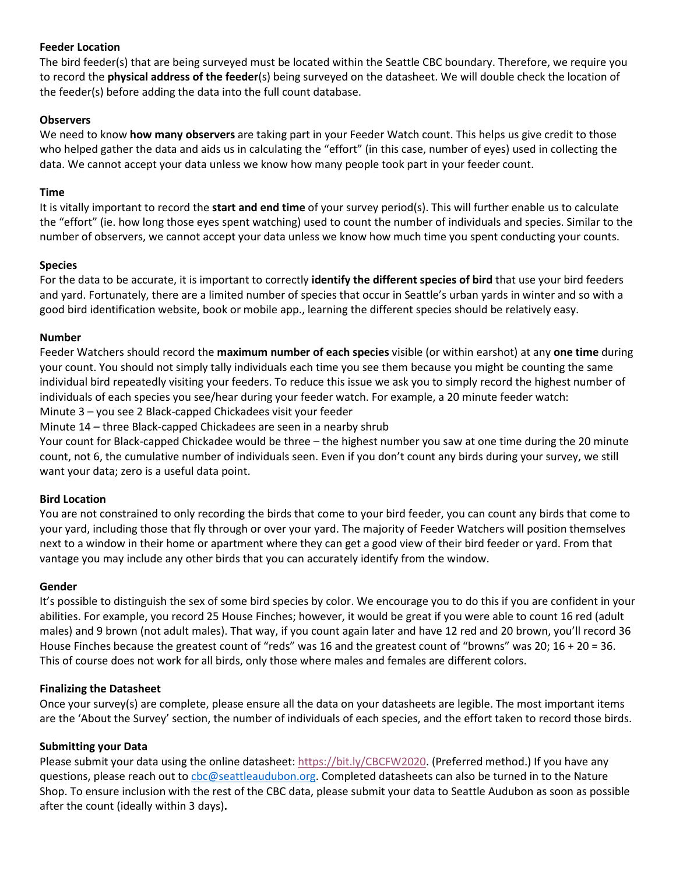#### **Feeder Location**

The bird feeder(s) that are being surveyed must be located within the Seattle CBC boundary. Therefore, we require you to record the **physical address of the feeder**(s) being surveyed on the datasheet. We will double check the location of the feeder(s) before adding the data into the full count database.

#### **Observers**

We need to know **how many observers** are taking part in your Feeder Watch count. This helps us give credit to those who helped gather the data and aids us in calculating the "effort" (in this case, number of eyes) used in collecting the data. We cannot accept your data unless we know how many people took part in your feeder count.

#### **Time**

It is vitally important to record the **start and end time** of your survey period(s). This will further enable us to calculate the "effort" (ie. how long those eyes spent watching) used to count the number of individuals and species. Similar to the number of observers, we cannot accept your data unless we know how much time you spent conducting your counts.

#### **Species**

For the data to be accurate, it is important to correctly **identify the different species of bird** that use your bird feeders and yard. Fortunately, there are a limited number of species that occur in Seattle's urban yards in winter and so with a good bird identification website, book or mobile app., learning the different species should be relatively easy.

#### **Number**

Feeder Watchers should record the **maximum number of each species** visible (or within earshot) at any **one time** during your count. You should not simply tally individuals each time you see them because you might be counting the same individual bird repeatedly visiting your feeders. To reduce this issue we ask you to simply record the highest number of individuals of each species you see/hear during your feeder watch. For example, a 20 minute feeder watch:

Minute 3 – you see 2 Black-capped Chickadees visit your feeder

Minute 14 – three Black-capped Chickadees are seen in a nearby shrub

Your count for Black-capped Chickadee would be three – the highest number you saw at one time during the 20 minute count, not 6, the cumulative number of individuals seen. Even if you don't count any birds during your survey, we still want your data; zero is a useful data point.

#### **Bird Location**

You are not constrained to only recording the birds that come to your bird feeder, you can count any birds that come to your yard, including those that fly through or over your yard. The majority of Feeder Watchers will position themselves next to a window in their home or apartment where they can get a good view of their bird feeder or yard. From that vantage you may include any other birds that you can accurately identify from the window.

#### **Gender**

It's possible to distinguish the sex of some bird species by color. We encourage you to do this if you are confident in your abilities. For example, you record 25 House Finches; however, it would be great if you were able to count 16 red (adult males) and 9 brown (not adult males). That way, if you count again later and have 12 red and 20 brown, you'll record 36 House Finches because the greatest count of "reds" was 16 and the greatest count of "browns" was 20; 16 + 20 = 36. This of course does not work for all birds, only those where males and females are different colors.

#### **Finalizing the Datasheet**

Once your survey(s) are complete, please ensure all the data on your datasheets are legible. The most important items are the 'About the Survey' section, the number of individuals of each species, and the effort taken to record those birds.

#### **Submitting your Data**

Please submit your data using the online datasheet: https://bit.ly/CBCFW2020. (Preferred method.) If you have any questions, please reach out to cbc@seattleaudubon.org. Completed datasheets can also be turned in to the Nature Shop. To ensure inclusion with the rest of the CBC data, please submit your data to Seattle Audubon as soon as possible after the count (ideally within 3 days)**.**